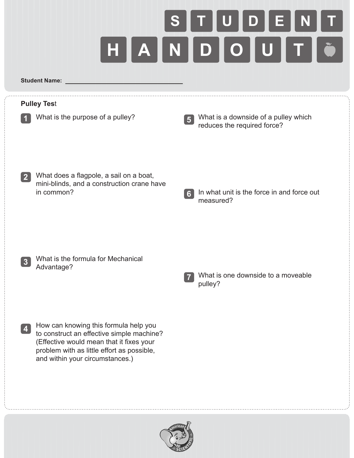

**Student Name:** 

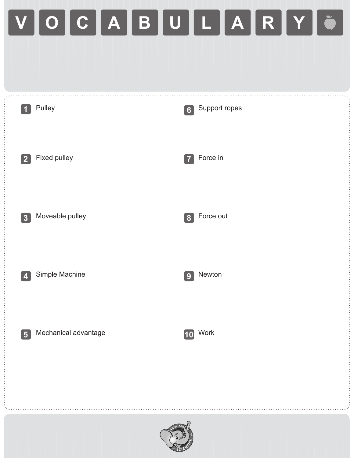## **V O C A B U L A R Y**

| $\vert$ 1        | Pulley               | 6              | Support ropes |  |
|------------------|----------------------|----------------|---------------|--|
| $\sqrt{2}$       | Fixed pulley         | $\vert$ 7      | Force in      |  |
| $\vert 3 \vert$  | Moveable pulley      | $[\mathbf{8}]$ | Force out     |  |
| $\boldsymbol{4}$ | Simple Machine       | $\boxed{9}$    | Newton        |  |
| $\boxed{5}$      | Mechanical advantage | [10]           | Work          |  |
|                  |                      |                |               |  |
| erican           |                      |                |               |  |

SCIENT